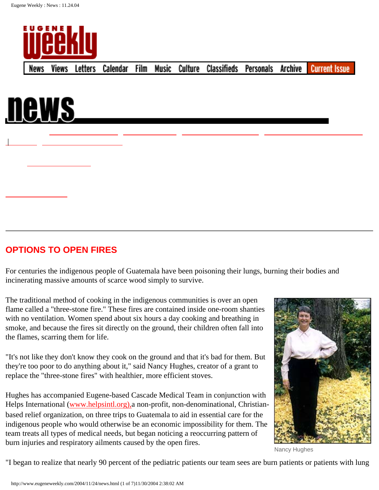



 $\overline{\phantom{a}}$ 

## **OPTIONS TO OPEN FIRES**

For centuries the indigenous people of Guatemala have been poisoning their lungs, burning their bodies and incinerating massive amounts of scarce wood simply to survive.

The traditional method of cooking in the indigenous communities is over an open flame called a "three-stone fire." These fires are contained inside one-room shanties with no ventilation. Women spend about six hours a day cooking and breathing in smoke, and because the fires sit directly on the ground, their children often fall into the flames, scarring them for life.

"It's not like they don't know they cook on the ground and that it's bad for them. But they're too poor to do anything about it," said Nancy Hughes, creator of a grant to replace the "three-stone fires" with healthier, more efficient stoves.

Hughes has accompanied Eugene-based Cascade Medical Team in conjunction with Helps International (www.helpsintl.org), a non-profit, non-denominational, Christianbased relief organization, on three trips to Guatemala to aid in essential care for the indigenous people who would otherwise be an economic impossibility for them. The team treats all types of medical needs, but began noticing a reoccurring pattern of burn injuries and respiratory ailments caused by the open fires.



Nancy Hughes

"I began to realize that nearly 90 percent of the pediatric patients our team sees are burn patients or patients with lung